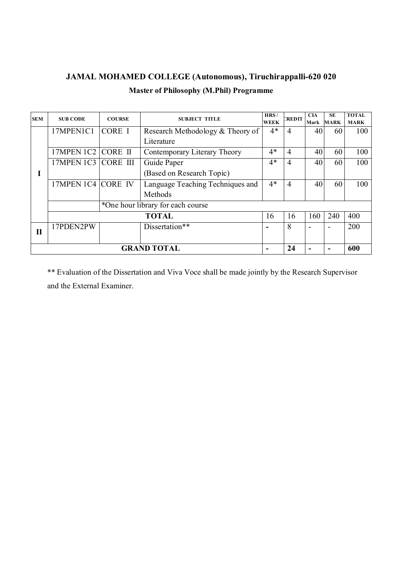# **JAMAL MOHAMED COLLEGE (Autonomous), Tiruchirappalli-620 020 Master of Philosophy (M.Phil) Programme**

| <b>SEM</b>   | <b>SUB CODE</b>                   | <b>COURSE</b>  | <b>SUBJECT TITLE</b>             | HRS/<br><b>WEEK</b> | <b>REDIT</b>   | <b>CIA</b><br>Mark | <b>SE</b><br><b>MARK</b> | <b>TOTAL</b><br><b>MARK</b> |
|--------------|-----------------------------------|----------------|----------------------------------|---------------------|----------------|--------------------|--------------------------|-----------------------------|
|              | 17MPEN1C1                         | CORE I         | Research Methodology & Theory of |                     | $\overline{4}$ | 40                 | 60                       | 100                         |
|              |                                   |                | Literature                       |                     |                |                    |                          |                             |
|              | <b>17MPEN 1C2</b>                 | <b>CORE II</b> | Contemporary Literary Theory     | $4*$                | $\overline{4}$ | 40                 | 60                       | 100                         |
|              | 17MPEN 1C3 CORE III               |                | Guide Paper                      | $4*$                | $\overline{4}$ | 40                 | 60                       | 100                         |
|              |                                   |                | (Based on Research Topic)        |                     |                |                    |                          |                             |
|              | 17MPEN 1C4 CORE IV                |                | Language Teaching Techniques and | $4*$                | $\overline{4}$ | 40                 | 60                       | 100                         |
|              |                                   |                | Methods                          |                     |                |                    |                          |                             |
|              | *One hour library for each course |                |                                  |                     |                |                    |                          |                             |
| <b>TOTAL</b> |                                   |                | 16                               | 16                  | 160            | 240                | 400                      |                             |
| $\mathbf{I}$ | 17PDEN2PW                         |                | Dissertation**                   |                     | 8              |                    | $\overline{\phantom{a}}$ | 200                         |
|              |                                   |                |                                  |                     |                |                    |                          |                             |
|              |                                   |                | <b>GRAND TOTAL</b>               |                     | 24             |                    |                          | 600                         |

\*\* Evaluation of the Dissertation and Viva Voce shall be made jointly by the Research Supervisor and the External Examiner.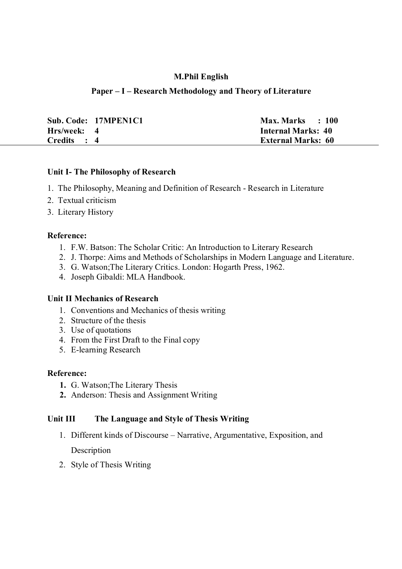## **M.Phil English**

## **Paper – I – Research Methodology and Theory of Literature**

|             | Sub. Code: 17MPEN1C1 | <b>Max. Marks : 100</b>   |
|-------------|----------------------|---------------------------|
| Hrs/week: 4 |                      | <b>Internal Marks: 40</b> |
| Credits : 4 |                      | <b>External Marks: 60</b> |

## **Unit I- The Philosophy of Research**

- 1. The Philosophy, Meaning and Definition of Research Research in Literature
- 2. Textual criticism
- 3. Literary History

## **Reference:**

- 1. F.W. Batson: The Scholar Critic: An Introduction to Literary Research
- 2. J. Thorpe: Aims and Methods of Scholarships in Modern Language and Literature.
- 3. G. Watson;The Literary Critics. London: Hogarth Press, 1962.
- 4. Joseph Gibaldi: MLA Handbook.

## **Unit II Mechanics of Research**

- 1. Conventions and Mechanics of thesis writing
- 2. Structure of the thesis
- 3. Use of quotations
- 4. From the First Draft to the Final copy
- 5. E-learning Research

## **Reference:**

- **1.** G. Watson;The Literary Thesis
- **2.** Anderson: Thesis and Assignment Writing

## **Unit III The Language and Style of Thesis Writing**

- 1. Different kinds of Discourse Narrative, Argumentative, Exposition, and Description
- 2. Style of Thesis Writing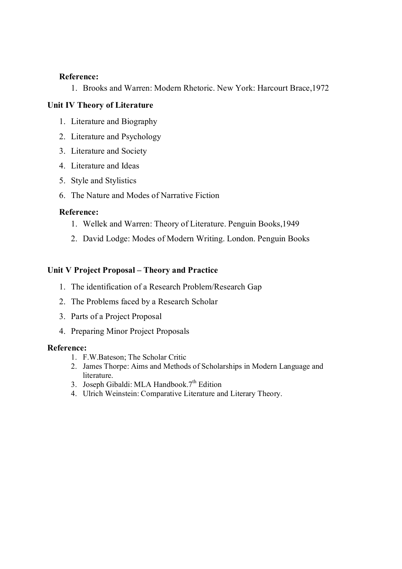## **Reference:**

1. Brooks and Warren: Modern Rhetoric. New York: Harcourt Brace,1972

## **Unit IV Theory of Literature**

- 1. Literature and Biography
- 2. Literature and Psychology
- 3. Literature and Society
- 4. Literature and Ideas
- 5. Style and Stylistics
- 6. The Nature and Modes of Narrative Fiction

# **Reference:**

- 1. Wellek and Warren: Theory of Literature. Penguin Books,1949
- 2. David Lodge: Modes of Modern Writing. London. Penguin Books

# **Unit V Project Proposal – Theory and Practice**

- 1. The identification of a Research Problem/Research Gap
- 2. The Problems faced by a Research Scholar
- 3. Parts of a Project Proposal
- 4. Preparing Minor Project Proposals

## **Reference:**

- 1. F.W.Bateson; The Scholar Critic
- 2. James Thorpe: Aims and Methods of Scholarships in Modern Language and literature.
- 3. Joseph Gibaldi: MLA Handbook. $7<sup>th</sup>$  Edition
- 4. Ulrich Weinstein: Comparative Literature and Literary Theory.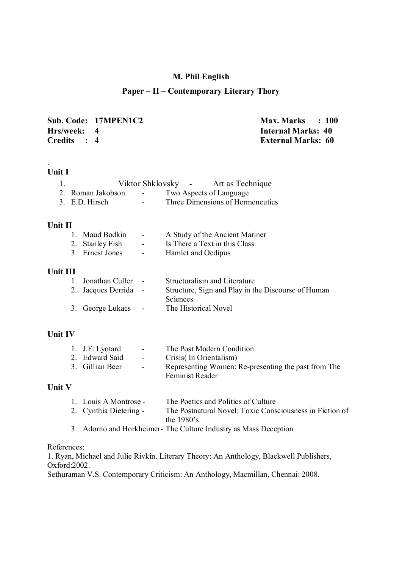## **M. Phil English**

# **Paper – II – Contemporary Literary Thory**

|                             | Sub. Code: 17MPEN1C2 | $Max. Marks$ : 100        |
|-----------------------------|----------------------|---------------------------|
| Hrs/week: 4                 |                      | <b>Internal Marks: 40</b> |
| <b>Credits</b><br>$\cdot$ 4 |                      | <b>External Marks: 60</b> |

## **Unit I**

.

|                   | Viktor Shklovsky               | Art as Technique<br>$\mathbf{v} = \mathbf{v}$ |
|-------------------|--------------------------------|-----------------------------------------------|
| 2. Roman Jakobson | <b>Contract Contract State</b> | Two Aspects of Language                       |
| 3. E.D. Hirsch    | $\sim$                         | Three Dimensions of Hermeneutics              |

#### **Unit II**

| 1. Maud Bodkin  | $\overline{\phantom{0}}$ | A Study of the Ancient Mariner |
|-----------------|--------------------------|--------------------------------|
| 2. Stanley Fish | $\overline{\phantom{0}}$ | Is There a Text in this Class  |
| 3. Ernest Jones | $\overline{\phantom{a}}$ | Hamlet and Oedipus             |

#### **Unit III**

| 1. Jonathan Culler   | <b>Contract Contract Contract</b> | Structuralism and Literature                       |
|----------------------|-----------------------------------|----------------------------------------------------|
| 2. Jacques Derrida - |                                   | Structure, Sign and Play in the Discourse of Human |
|                      |                                   | <b>Sciences</b>                                    |
| 3. George Lukacs     | $\sim$ 100 $\mu$                  | The Historical Novel                               |

# **Unit IV**

| 1. J.F. Lyotard | $\sim$ $\sim$            | The Post Modern Condition                                                     |
|-----------------|--------------------------|-------------------------------------------------------------------------------|
| 2. Edward Said  | <b>Contract Contract</b> | Crisis (In Orientalism)                                                       |
| 3. Gillian Beer | $\sim$                   | Representing Women: Re-presenting the past from The<br><b>Feminist Reader</b> |

# **Unit V**

| 1. Louis A Montrose -  | The Poetics and Politics of Culture                                                       |
|------------------------|-------------------------------------------------------------------------------------------|
| 2. Cynthia Dietering - | The Postnatural Novel: Toxic Consciousness in Fiction of                                  |
|                        | the $1980$ 's                                                                             |
|                        | $\Omega$ . A denote by d H and the state of The College Le december of M and D are at the |

## 3. Adorno and Horkheimer- The Culture Industry as Mass Deception

#### References:

1. Ryan, Michael and Julie Rivkin. Literary Theory: An Anthology, Blackwell Publishers, Oxford:2002.

Sethuraman V.S. Contemporary Criticism: An Anthology, Macmillan, Chennai: 2008.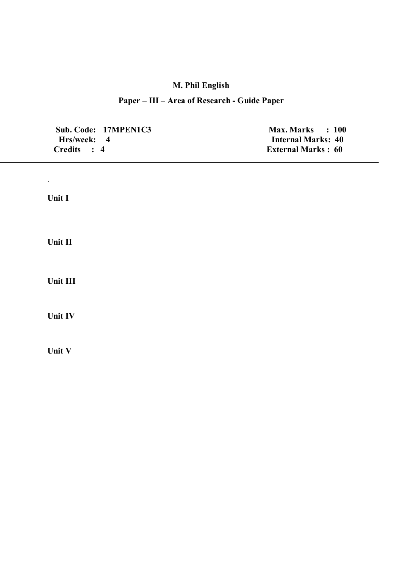# **M. Phil English**

# **Paper – III – Area of Research - Guide Paper**

| Sub. Code: 17MPEN1C3 | $Max. Marks$ : 100        |
|----------------------|---------------------------|
| Hrs/week: 4          | <b>Internal Marks: 40</b> |
| Credits : 4          | <b>External Marks: 60</b> |
|                      |                           |

**Unit I** 

.

**Unit II** 

**Unit III** 

**Unit IV** 

**Unit V**